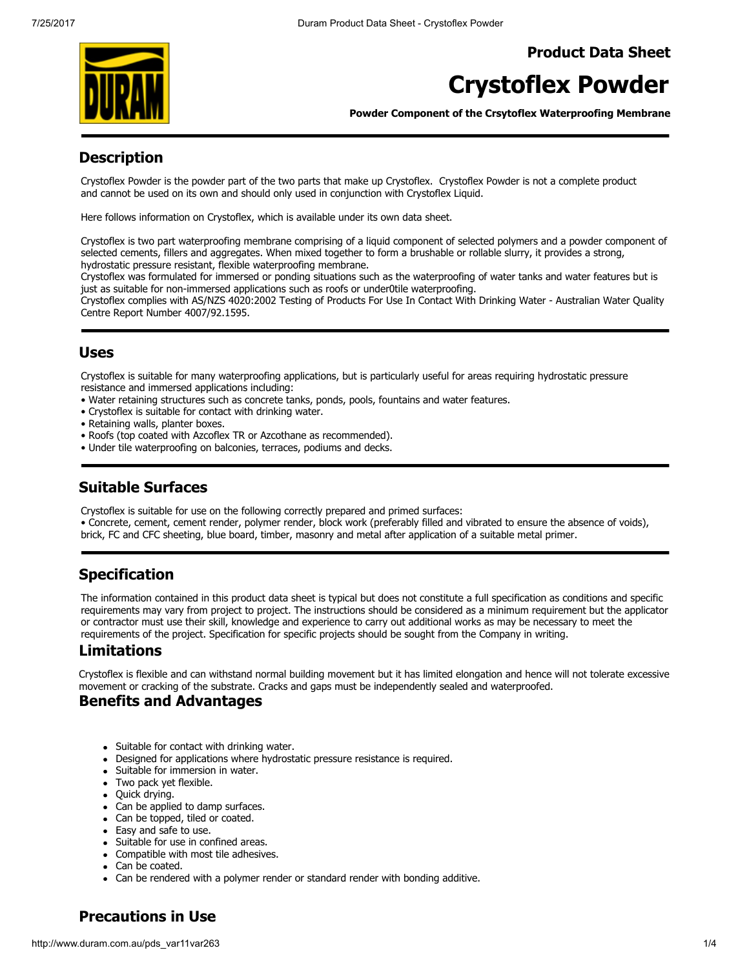Product Data Sheet



# Crystoflex Powder

Powder Component of the Crsytoflex Waterproofing Membrane

### **Description**

Crystoflex Powder is the powder part of the two parts that make up Crystoflex. Crystoflex Powder is not a complete product and cannot be used on its own and should only used in conjunction with Crystoflex Liquid.

Here follows information on Crystoflex, which is available under its own data sheet.

Crystoflex is two part waterproofing membrane comprising of a liquid component of selected polymers and a powder component of selected cements, fillers and aggregates. When mixed together to form a brushable or rollable slurry, it provides a strong, hydrostatic pressure resistant, flexible waterproofing membrane.

Crystoflex was formulated for immersed or ponding situations such as the waterproofing of water tanks and water features but is just as suitable for non-immersed applications such as roofs or under0tile waterproofing.

Crystoflex complies with AS/NZS 4020:2002 Testing of Products For Use In Contact With Drinking Water - Australian Water Quality Centre Report Number 4007/92.1595.

### Uses

Crystoflex is suitable for many waterproofing applications, but is particularly useful for areas requiring hydrostatic pressure resistance and immersed applications including:

- Water retaining structures such as concrete tanks, ponds, pools, fountains and water features.
- Crystoflex is suitable for contact with drinking water.
- Retaining walls, planter boxes.
- Roofs (top coated with Azcoflex TR or Azcothane as recommended).
- Under tile waterproofing on balconies, terraces, podiums and decks.

## Suitable Surfaces

Crystoflex is suitable for use on the following correctly prepared and primed surfaces:

• Concrete, cement, cement render, polymer render, block work (preferably filled and vibrated to ensure the absence of voids), brick, FC and CFC sheeting, blue board, timber, masonry and metal after application of a suitable metal primer.

## Specification

The information contained in this product data sheet is typical but does not constitute a full specification as conditions and specific requirements may vary from project to project. The instructions should be considered as a minimum requirement but the applicator or contractor must use their skill, knowledge and experience to carry out additional works as may be necessary to meet the requirements of the project. Specification for specific projects should be sought from the Company in writing.

## Limitations

Crystoflex is flexible and can withstand normal building movement but it has limited elongation and hence will not tolerate excessive movement or cracking of the substrate. Cracks and gaps must be independently sealed and waterproofed.

### Benefits and Advantages

- Suitable for contact with drinking water.
- Designed for applications where hydrostatic pressure resistance is required.
- Suitable for immersion in water.
- Two pack yet flexible.
- Quick drying.
- Can be applied to damp surfaces.
- Can be topped, tiled or coated.
- Easy and safe to use.
- Suitable for use in confined areas.
- Compatible with most tile adhesives.
- Can be coated.
- Can be rendered with a polymer render or standard render with bonding additive.

## Precautions in Use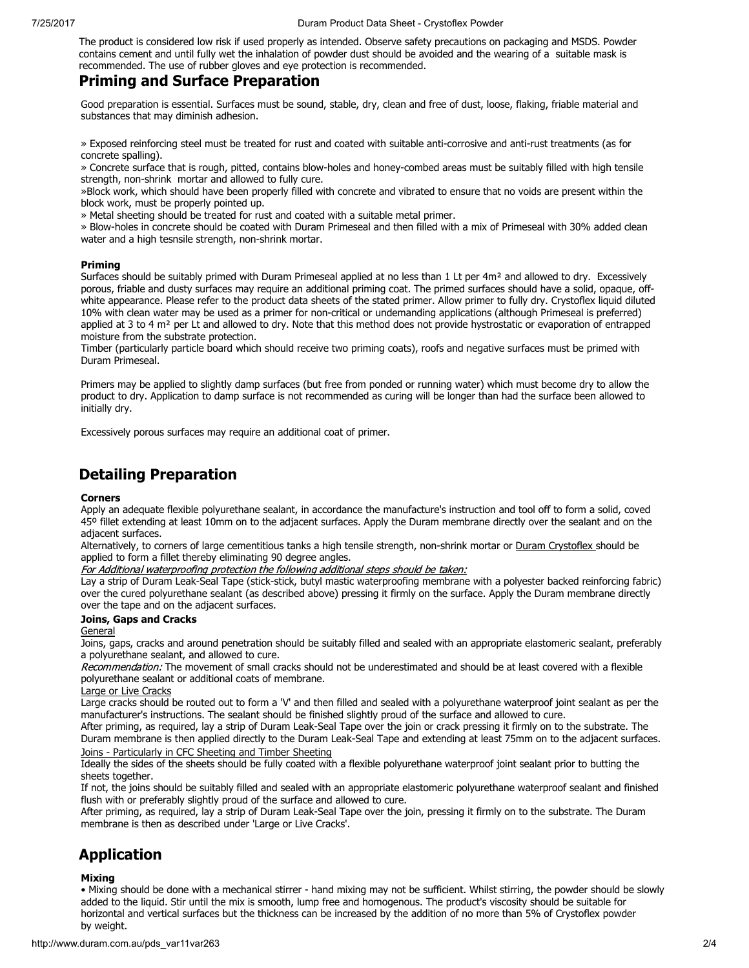The product is considered low risk if used properly as intended. Observe safety precautions on packaging and MSDS. Powder contains cement and until fully wet the inhalation of powder dust should be avoided and the wearing of a suitable mask is recommended. The use of rubber gloves and eye protection is recommended.

## Priming and Surface Preparation

Good preparation is essential. Surfaces must be sound, stable, dry, clean and free of dust, loose, flaking, friable material and substances that may diminish adhesion.

» Exposed reinforcing steel must be treated for rust and coated with suitable anti-corrosive and anti-rust treatments (as for concrete spalling).

» Concrete surface that is rough, pitted, contains blow-holes and honey-combed areas must be suitably filled with high tensile strength, non-shrink mortar and allowed to fully cure.

»Block work, which should have been properly filled with concrete and vibrated to ensure that no voids are present within the block work, must be properly pointed up.

» Metal sheeting should be treated for rust and coated with a suitable metal primer.

» Blow-holes in concrete should be coated with Duram Primeseal and then filled with a mix of Primeseal with 30% added clean water and a high tesnsile strength, non-shrink mortar.

#### Priming

Surfaces should be suitably primed with Duram Primeseal applied at no less than 1 Lt per  $4m<sup>2</sup>$  and allowed to dry. Excessively porous, friable and dusty surfaces may require an additional priming coat. The primed surfaces should have a solid, opaque, offwhite appearance. Please refer to the product data sheets of the stated primer. Allow primer to fully dry. Crystoflex liquid diluted 10% with clean water may be used as a primer for non-critical or undemanding applications (although Primeseal is preferred) applied at 3 to 4 m<sup>2</sup> per Lt and allowed to dry. Note that this method does not provide hystrostatic or evaporation of entrapped moisture from the substrate protection.

Timber (particularly particle board which should receive two priming coats), roofs and negative surfaces must be primed with Duram Primeseal.

Primers may be applied to slightly damp surfaces (but free from ponded or running water) which must become dry to allow the product to dry. Application to damp surface is not recommended as curing will be longer than had the surface been allowed to initially dry.

Excessively porous surfaces may require an additional coat of primer.

### Detailing Preparation

#### Corners

Apply an adequate flexible polyurethane sealant, in accordance the manufacture's instruction and tool off to form a solid, coved 45º fillet extending at least 10mm on to the adjacent surfaces. Apply the Duram membrane directly over the sealant and on the adjacent surfaces.

Alternatively, to corners of large cementitious tanks a high tensile strength, non-shrink mortar or Duram Crystoflex should be applied to form a fillet thereby eliminating 90 degree angles.

For Additional waterproofing protection the following additional steps should be taken:

Lay a strip of Duram Leak-Seal Tape (stick-stick, butyl mastic waterproofing membrane with a polyester backed reinforcing fabric) over the cured polyurethane sealant (as described above) pressing it firmly on the surface. Apply the Duram membrane directly over the tape and on the adjacent surfaces.

#### Joins, Gaps and Cracks

#### **General**

Joins, gaps, cracks and around penetration should be suitably filled and sealed with an appropriate elastomeric sealant, preferably a polyurethane sealant, and allowed to cure.

Recommendation: The movement of small cracks should not be underestimated and should be at least covered with a flexible polyurethane sealant or additional coats of membrane.

### Large or Live Cracks

Large cracks should be routed out to form a 'V' and then filled and sealed with a polyurethane waterproof joint sealant as per the manufacturer's instructions. The sealant should be finished slightly proud of the surface and allowed to cure.

After priming, as required, lay a strip of Duram Leak-Seal Tape over the join or crack pressing it firmly on to the substrate. The Duram membrane is then applied directly to the Duram Leak-Seal Tape and extending at least 75mm on to the adjacent surfaces.

### Joins - Particularly in CFC Sheeting and Timber Sheeting

Ideally the sides of the sheets should be fully coated with a flexible polyurethane waterproof joint sealant prior to butting the sheets together.

If not, the joins should be suitably filled and sealed with an appropriate elastomeric polyurethane waterproof sealant and finished flush with or preferably slightly proud of the surface and allowed to cure.

After priming, as required, lay a strip of Duram Leak-Seal Tape over the join, pressing it firmly on to the substrate. The Duram membrane is then as described under 'Large or Live Cracks'.

## Application

#### Mixing

• Mixing should be done with a mechanical stirrer - hand mixing may not be sufficient. Whilst stirring, the powder should be slowly added to the liquid. Stir until the mix is smooth, lump free and homogenous. The product's viscosity should be suitable for horizontal and vertical surfaces but the thickness can be increased by the addition of no more than 5% of Crystoflex powder by weight.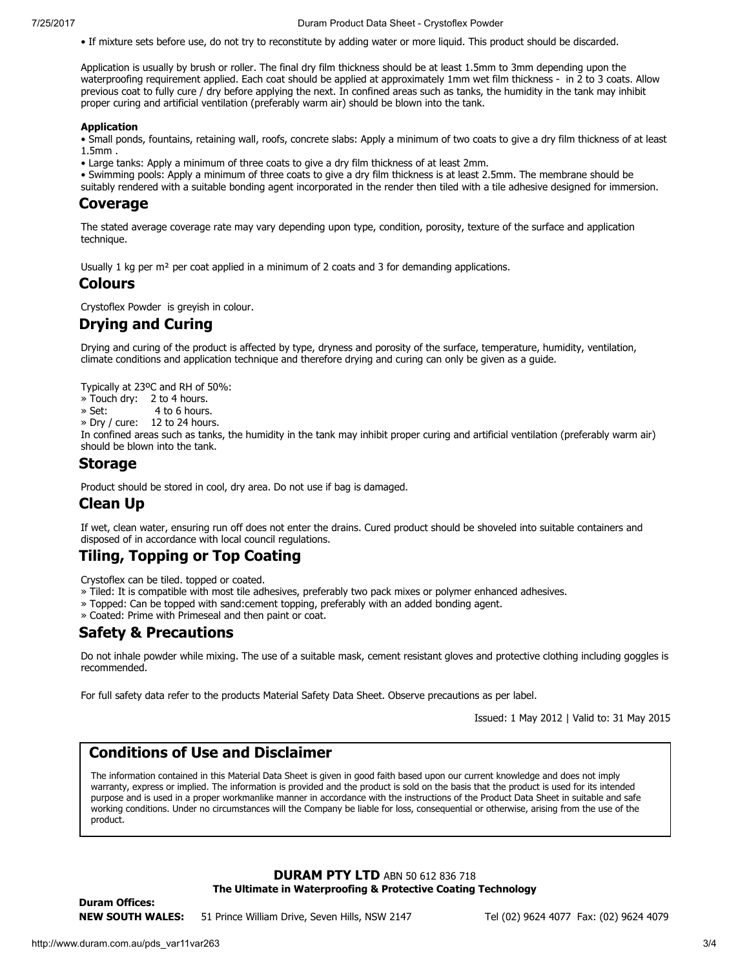• If mixture sets before use, do not try to reconstitute by adding water or more liquid. This product should be discarded.

Application is usually by brush or roller. The final dry film thickness should be at least 1.5mm to 3mm depending upon the waterproofing requirement applied. Each coat should be applied at approximately 1mm wet film thickness - in 2 to 3 coats. Allow previous coat to fully cure / dry before applying the next. In confined areas such as tanks, the humidity in the tank may inhibit proper curing and artificial ventilation (preferably warm air) should be blown into the tank.

#### Application

• Small ponds, fountains, retaining wall, roofs, concrete slabs: Apply a minimum of two coats to give a dry film thickness of at least 1.5mm .

• Large tanks: Apply a minimum of three coats to give a dry film thickness of at least 2mm.

• Swimming pools: Apply a minimum of three coats to give a dry film thickness is at least 2.5mm. The membrane should be

suitably rendered with a suitable bonding agent incorporated in the render then tiled with a tile adhesive designed for immersion.

#### Coverage

The stated average coverage rate may vary depending upon type, condition, porosity, texture of the surface and application technique.

Usually 1 kg per m<sup>2</sup> per coat applied in a minimum of 2 coats and 3 for demanding applications.

### Colours

Crystoflex Powder is greyish in colour.

### Drying and Curing

Drying and curing of the product is affected by type, dryness and porosity of the surface, temperature, humidity, ventilation, climate conditions and application technique and therefore drying and curing can only be given as a guide.

Typically at 23ºC and RH of 50%:

- » Touch dry: 2 to 4 hours.
- » Set: 4 to 6 hours.
- » Dry / cure: 12 to 24 hours.

In confined areas such as tanks, the humidity in the tank may inhibit proper curing and artificial ventilation (preferably warm air) should be blown into the tank.

#### Storage

Product should be stored in cool, dry area. Do not use if bag is damaged.

### Clean Up

If wet, clean water, ensuring run off does not enter the drains. Cured product should be shoveled into suitable containers and disposed of in accordance with local council regulations.

### Tiling, Topping or Top Coating

Crystoflex can be tiled. topped or coated.

- » Tiled: It is compatible with most tile adhesives, preferably two pack mixes or polymer enhanced adhesives.
- » Topped: Can be topped with sand:cement topping, preferably with an added bonding agent.
- » Coated: Prime with Primeseal and then paint or coat.

### Safety & Precautions

Do not inhale powder while mixing. The use of a suitable mask, cement resistant gloves and protective clothing including goggles is recommended.

For full safety data refer to the products Material Safety Data Sheet. Observe precautions as per label.

Issued: 1 May 2012 | Valid to: 31 May 2015

### Conditions of Use and Disclaimer

The information contained in this Material Data Sheet is given in good faith based upon our current knowledge and does not imply warranty, express or implied. The information is provided and the product is sold on the basis that the product is used for its intended purpose and is used in a proper workmanlike manner in accordance with the instructions of the Product Data Sheet in suitable and safe working conditions. Under no circumstances will the Company be liable for loss, consequential or otherwise, arising from the use of the product.

### DURAM PTY LTD ABN 50 612 836 718 The Ultimate in Waterproofing & Protective Coating Technology

Duram Offices: NEW SOUTH WALES: 51 Prince William Drive, Seven Hills, NSW 2147 Tel (02) 9624 4077 Fax: (02) 9624 4079